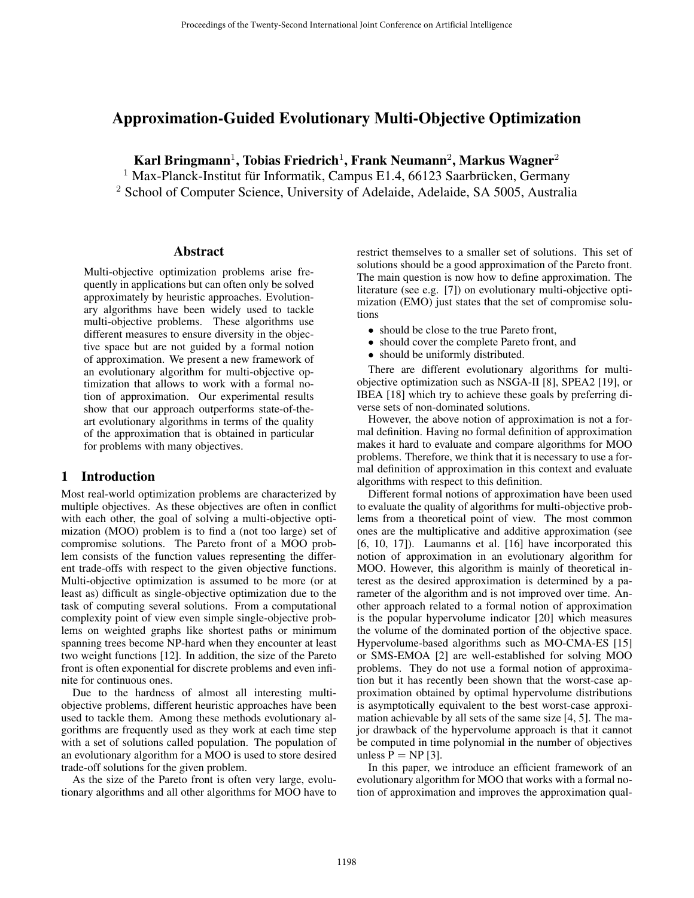# Approximation-Guided Evolutionary Multi-Objective Optimization

Karl Bringmann<sup>1</sup>, Tobias Friedrich<sup>1</sup>, Frank Neumann<sup>2</sup>, Markus Wagner<sup>2</sup>

 $1$  Max-Planck-Institut für Informatik, Campus E1.4, 66123 Saarbrücken, Germany

<sup>2</sup> School of Computer Science, University of Adelaide, Adelaide, SA 5005, Australia

#### Abstract

Multi-objective optimization problems arise frequently in applications but can often only be solved approximately by heuristic approaches. Evolutionary algorithms have been widely used to tackle multi-objective problems. These algorithms use different measures to ensure diversity in the objective space but are not guided by a formal notion of approximation. We present a new framework of an evolutionary algorithm for multi-objective optimization that allows to work with a formal notion of approximation. Our experimental results show that our approach outperforms state-of-theart evolutionary algorithms in terms of the quality of the approximation that is obtained in particular for problems with many objectives.

#### 1 Introduction

Most real-world optimization problems are characterized by multiple objectives. As these objectives are often in conflict with each other, the goal of solving a multi-objective optimization (MOO) problem is to find a (not too large) set of compromise solutions. The Pareto front of a MOO problem consists of the function values representing the different trade-offs with respect to the given objective functions. Multi-objective optimization is assumed to be more (or at least as) difficult as single-objective optimization due to the task of computing several solutions. From a computational complexity point of view even simple single-objective problems on weighted graphs like shortest paths or minimum spanning trees become NP-hard when they encounter at least two weight functions [12]. In addition, the size of the Pareto front is often exponential for discrete problems and even infinite for continuous ones.

Due to the hardness of almost all interesting multiobjective problems, different heuristic approaches have been used to tackle them. Among these methods evolutionary algorithms are frequently used as they work at each time step with a set of solutions called population. The population of an evolutionary algorithm for a MOO is used to store desired trade-off solutions for the given problem.

As the size of the Pareto front is often very large, evolutionary algorithms and all other algorithms for MOO have to restrict themselves to a smaller set of solutions. This set of solutions should be a good approximation of the Pareto front. The main question is now how to define approximation. The literature (see e.g. [7]) on evolutionary multi-objective optimization (EMO) just states that the set of compromise solutions

- should be close to the true Pareto front,
- should cover the complete Pareto front, and
- should be uniformly distributed.

There are different evolutionary algorithms for multiobjective optimization such as NSGA-II [8], SPEA2 [19], or IBEA [18] which try to achieve these goals by preferring diverse sets of non-dominated solutions.

However, the above notion of approximation is not a formal definition. Having no formal definition of approximation makes it hard to evaluate and compare algorithms for MOO problems. Therefore, we think that it is necessary to use a formal definition of approximation in this context and evaluate algorithms with respect to this definition.

Different formal notions of approximation have been used to evaluate the quality of algorithms for multi-objective problems from a theoretical point of view. The most common ones are the multiplicative and additive approximation (see [6, 10, 17]). Laumanns et al. [16] have incorporated this notion of approximation in an evolutionary algorithm for MOO. However, this algorithm is mainly of theoretical interest as the desired approximation is determined by a parameter of the algorithm and is not improved over time. Another approach related to a formal notion of approximation is the popular hypervolume indicator [20] which measures the volume of the dominated portion of the objective space. Hypervolume-based algorithms such as MO-CMA-ES [15] or SMS-EMOA [2] are well-established for solving MOO problems. They do not use a formal notion of approximation but it has recently been shown that the worst-case approximation obtained by optimal hypervolume distributions is asymptotically equivalent to the best worst-case approximation achievable by all sets of the same size [4, 5]. The major drawback of the hypervolume approach is that it cannot be computed in time polynomial in the number of objectives unless  $P = NP$  [3].

In this paper, we introduce an efficient framework of an evolutionary algorithm for MOO that works with a formal notion of approximation and improves the approximation qual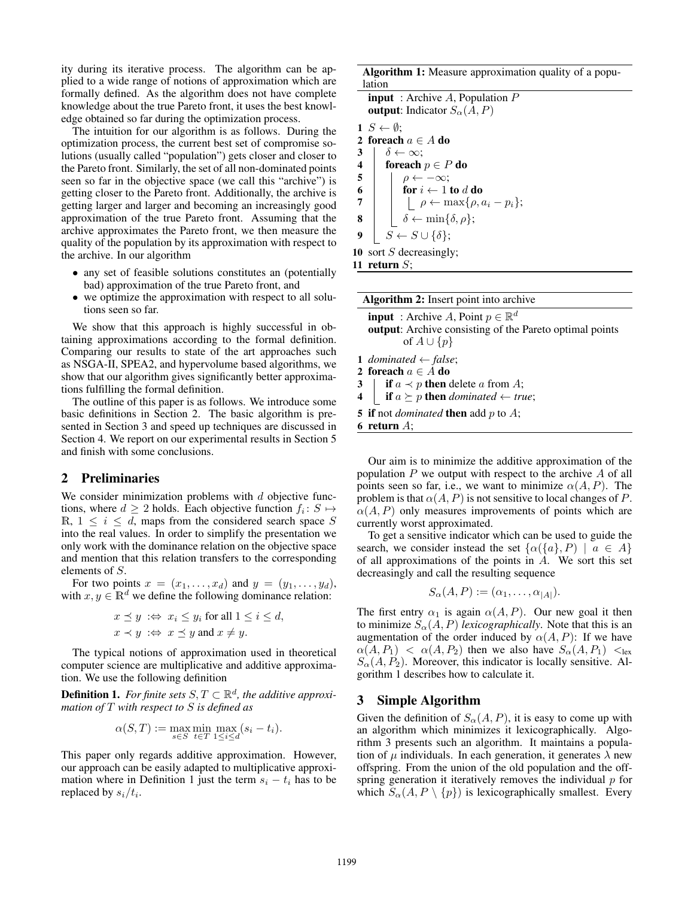ity during its iterative process. The algorithm can be applied to a wide range of notions of approximation which are formally defined. As the algorithm does not have complete knowledge about the true Pareto front, it uses the best knowledge obtained so far during the optimization process.

The intuition for our algorithm is as follows. During the optimization process, the current best set of compromise solutions (usually called "population") gets closer and closer to the Pareto front. Similarly, the set of all non-dominated points seen so far in the objective space (we call this "archive") is getting closer to the Pareto front. Additionally, the archive is getting larger and larger and becoming an increasingly good approximation of the true Pareto front. Assuming that the archive approximates the Pareto front, we then measure the quality of the population by its approximation with respect to the archive. In our algorithm

- any set of feasible solutions constitutes an (potentially bad) approximation of the true Pareto front, and
- we optimize the approximation with respect to all solutions seen so far.

We show that this approach is highly successful in obtaining approximations according to the formal definition. Comparing our results to state of the art approaches such as NSGA-II, SPEA2, and hypervolume based algorithms, we show that our algorithm gives significantly better approximations fulfilling the formal definition.

The outline of this paper is as follows. We introduce some basic definitions in Section 2. The basic algorithm is presented in Section 3 and speed up techniques are discussed in Section 4. We report on our experimental results in Section 5 and finish with some conclusions.

#### 2 Preliminaries

We consider minimization problems with  $d$  objective functions, where  $d \geq 2$  holds. Each objective function  $f_i : S \mapsto$ R,  $1 \leq i \leq d$ , maps from the considered search space S into the real values. In order to simplify the presentation we only work with the dominance relation on the objective space and mention that this relation transfers to the corresponding elements of S.

For two points  $x = (x_1, \ldots, x_d)$  and  $y = (y_1, \ldots, y_d)$ , with  $x, y \in \mathbb{R}^d$  we define the following dominance relation:

$$
x \preceq y \Leftrightarrow x_i \le y_i \text{ for all } 1 \le i \le d,
$$
  

$$
x \prec y \Leftrightarrow x \preceq y \text{ and } x \ne y.
$$

The typical notions of approximation used in theoretical computer science are multiplicative and additive approximation. We use the following definition

**Definition 1.** *For finite sets*  $S, T \subset \mathbb{R}^d$ *, the additive approximation of* T *with respect to* S *is defined as*

$$
\alpha(S,T) := \max_{s \in S} \min_{t \in T} \max_{1 \le i \le d} (s_i - t_i).
$$

This paper only regards additive approximation. However, our approach can be easily adapted to multiplicative approximation where in Definition 1 just the term  $s_i - t_i$  has to be replaced by  $s_i/t_i$ .

Algorithm 1: Measure approximation quality of a population

| <b>input</b> : Archive A, Population $P$                                             |  |
|--------------------------------------------------------------------------------------|--|
| <b>output:</b> Indicator $S_{\alpha}(A, P)$                                          |  |
| $1\;S\leftarrow\emptyset$ :                                                          |  |
| 2 foreach $a \in A$ do                                                               |  |
| $\delta \leftarrow \infty$<br>3                                                      |  |
| $\overline{\mathbf{4}}$<br>foreach $p \in P$ do                                      |  |
| $\sqrt{5}$<br>$\rho \leftarrow -\infty;$                                             |  |
| $\begin{array}{c} 6 \\ 7 \end{array}$<br>for $i \leftarrow 1$ to d do                |  |
| $\begin{aligned} \vert \quad \rho \leftarrow \max\{\rho, a_i - p_i\}; \end{aligned}$ |  |
| $\delta \leftarrow \min\{\delta, \rho\};$<br>8                                       |  |
| $S \leftarrow S \cup \{\delta\};$<br>9                                               |  |
| 10 sort $S$ decreasingly;                                                            |  |
| 11 return $S$ :                                                                      |  |

| <b>Algorithm 2:</b> Insert point into archive                                                                                               |  |  |  |
|---------------------------------------------------------------------------------------------------------------------------------------------|--|--|--|
| <b>input</b> : Archive A, Point $p \in \mathbb{R}^d$<br><b>output:</b> Archive consisting of the Pareto optimal points<br>of $A \cup \{p\}$ |  |  |  |
| 1 dominated $\leftarrow$ false;<br>2 foreach $a \in A$ do<br>3   if $a \prec p$ then delete a from A;                                       |  |  |  |
| 4 <b>if</b> $a \succeq p$ then <i>dominated</i> $\leftarrow true$ ;                                                                         |  |  |  |
| 5 if not <i>dominated</i> then add p to A;                                                                                                  |  |  |  |
| 6 return $A$ ;                                                                                                                              |  |  |  |

Our aim is to minimize the additive approximation of the population  $P$  we output with respect to the archive  $A$  of all points seen so far, i.e., we want to minimize  $\alpha(A, P)$ . The problem is that  $\alpha(A, P)$  is not sensitive to local changes of P.  $\alpha(A, P)$  only measures improvements of points which are currently worst approximated.

To get a sensitive indicator which can be used to guide the search, we consider instead the set  $\{\alpha(\{a\}, P) \mid a \in A\}$ of all approximations of the points in  $A$ . We sort this set decreasingly and call the resulting sequence

$$
S_{\alpha}(A, P) := (\alpha_1, \ldots, \alpha_{|A|}).
$$

The first entry  $\alpha_1$  is again  $\alpha(A, P)$ . Our new goal it then to minimize  $S_{\alpha}(A, P)$  *lexicographically*. Note that this is an augmentation of the order induced by  $\alpha(A, P)$ : If we have  $\alpha(A, P_1) < \alpha(A, P_2)$  then we also have  $S_{\alpha}(A, P_1) <$ lex  $S_{\alpha}(A, P_2)$ . Moreover, this indicator is locally sensitive. Algorithm 1 describes how to calculate it.

#### 3 Simple Algorithm

Given the definition of  $S_{\alpha}(A, P)$ , it is easy to come up with an algorithm which minimizes it lexicographically. Algorithm 3 presents such an algorithm. It maintains a population of  $\mu$  individuals. In each generation, it generates  $\lambda$  new offspring. From the union of the old population and the offspring generation it iteratively removes the individual  $p$  for which  $S_{\alpha}(A, P \setminus \{p\})$  is lexicographically smallest. Every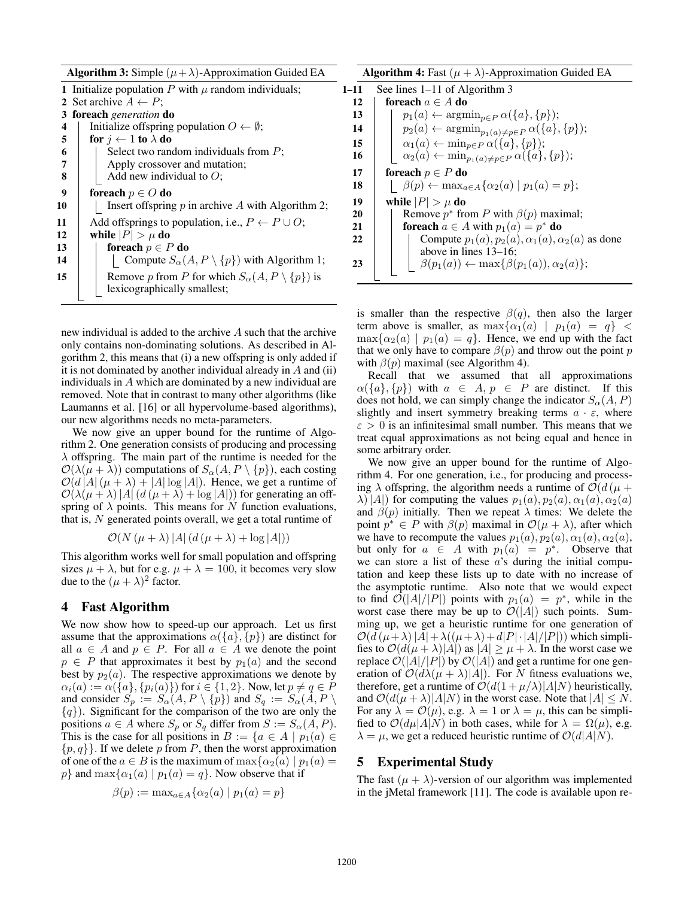|    | <b>Algorithm 3:</b> Simple $(\mu + \lambda)$ -Approximation Guided EA |
|----|-----------------------------------------------------------------------|
|    | 1 Initialize population P with $\mu$ random individuals;              |
|    | 2 Set archive $A \leftarrow P$ ;                                      |
| 3  | <b>foreach</b> generation <b>do</b>                                   |
| 4  | Initialize offspring population $O \leftarrow \emptyset$ ;            |
| 5  | for $j \leftarrow 1$ to $\lambda$ do                                  |
| 6  | Select two random individuals from $P$ ;                              |
| 7  | Apply crossover and mutation;                                         |
| 8  | Add new individual to $O$ ;                                           |
| 9  | foreach $p \in O$ do                                                  |
| 10 | Insert offspring $p$ in archive $A$ with Algorithm 2;                 |
| 11 | Add offsprings to population, i.e., $P \leftarrow P \cup O$ ;         |
| 12 | while $ P  > \mu$ do                                                  |
| 13 | foreach $p \in P$ do                                                  |
| 14 | Compute $S_{\alpha}(A, P \setminus \{p\})$ with Algorithm 1;          |
| 15 | Remove p from P for which $S_{\alpha}(A, P \setminus \{p\})$ is       |
|    | lexicographically smallest;                                           |

new individual is added to the archive A such that the archive only contains non-dominating solutions. As described in Algorithm 2, this means that (i) a new offspring is only added if it is not dominated by another individual already in  $A$  and (ii) individuals in A which are dominated by a new individual are removed. Note that in contrast to many other algorithms (like Laumanns et al. [16] or all hypervolume-based algorithms), our new algorithms needs no meta-parameters.

We now give an upper bound for the runtime of Algorithm 2. One generation consists of producing and processing  $\lambda$  offspring. The main part of the runtime is needed for the  $\mathcal{O}(\lambda(\mu + \lambda))$  computations of  $S_{\alpha}(A, P \setminus \{p\})$ , each costing  $\mathcal{O}(d |A|(\mu + \lambda) + |A| \log |A|)$ . Hence, we get a runtime of  $\mathcal{O}(\lambda(\mu + \lambda) |A| (d (\mu + \lambda) + \log |A|))$  for generating an offspring of  $\lambda$  points. This means for N function evaluations, that is,  $N$  generated points overall, we get a total runtime of

$$
\mathcal{O}(N(\mu+\lambda)|A|\left(d\left(\mu+\lambda\right)+\log|A|\right))
$$

This algorithm works well for small population and offspring sizes  $\mu + \lambda$ , but for e.g.  $\mu + \lambda = 100$ , it becomes very slow due to the  $(\mu + \lambda)^2$  factor.

## 4 Fast Algorithm

We now show how to speed-up our approach. Let us first assume that the approximations  $\alpha({a}, {p})$  are distinct for all  $a \in A$  and  $p \in P$ . For all  $a \in A$  we denote the point  $p \in P$  that approximates it best by  $p_1(a)$  and the second best by  $p_2(a)$ . The respective approximations we denote by  $\alpha_i(a) := \alpha(\{a\}, \{p_i(a)\})$  for  $i \in \{1, 2\}$ . Now, let  $p \neq q \in \tilde{P}$ <br>and consider  $S_{-} := S_{+}(A \mid P \setminus \{n\})$  and  $S_{-} := S_{+}(A \mid P \setminus P)$ and consider  $S_p := S_\alpha(A, P \setminus \{p\})$  and  $S_q := S_\alpha(A, P \setminus \{p\})$  ${q}$ ). Significant for the comparison of the two are only the positions  $a \in A$  where  $S_p$  or  $S_q$  differ from  $S := S_\alpha(A, P)$ . This is the case for all positions in  $B := \{a \in A \mid p_1(a) \in$  $\{p, q\}$ . If we delete p from P, then the worst approximation of one of the  $a \in B$  is the maximum of  $\max{\{\alpha_2(a) | p_1(a) =\}}$ p} and  $\max{\{\alpha_1(a) | p_1(a) = q\}}$ . Now observe that if

$$
\beta(p) := \max_{a \in A} \{ \alpha_2(a) \mid p_1(a) = p \}
$$

|      | <b>Algorithm 4:</b> Fast $(\mu + \lambda)$ -Approximation Guided EA                   |
|------|---------------------------------------------------------------------------------------|
| 1-11 | See lines $1-11$ of Algorithm 3                                                       |
| 12   | foreach $a \in A$ do                                                                  |
| 13   | $p_1(a) \leftarrow \operatorname{argmin}_{p \in P} \alpha(\{a\}, \{p\});$             |
| 14   | $p_2(a) \leftarrow \operatorname{argmin}_{p_1(a) \neq p \in P} \alpha(\{a\}, \{p\});$ |
| 15   | $\alpha_1(a) \leftarrow \min_{p \in P} \alpha(\{a\}, \{p\});$                         |
| 16   | $\alpha_2(a) \leftarrow \min_{p_1(a) \neq p \in P} \alpha(\{a\}, \{p\});$             |
| 17   | foreach $p \in P$ do                                                                  |
| 18   | $\beta(p) \leftarrow \max_{a \in A} {\alpha_2(a)   p_1(a) = p};$                      |
| 19   | while $ P  > \mu$ do                                                                  |
| 20   | Remove $p^*$ from P with $\beta(p)$ maximal;                                          |
| 21   | <b>for<br/>each</b> $a \in A$ with $p_1(a) = p^*$ <b>do</b>                           |
| 22   | Compute $p_1(a), p_2(a), \alpha_1(a), \alpha_2(a)$ as done                            |
|      | above in lines $13-16$ ;                                                              |
| 23   | $\upharpoonright$ $\beta(p_1(a)) \leftarrow \max\{\beta(p_1(a)), \alpha_2(a)\};$      |
|      |                                                                                       |

is smaller than the respective  $\beta(q)$ , then also the larger term above is smaller, as  $\max{\{\alpha_1(a) | p_1(a) = q\}}$  <  $\max{\alpha_2(a) | p_1(a) = q}$ . Hence, we end up with the fact that we only have to compare  $\beta(p)$  and throw out the point p with  $\beta(p)$  maximal (see Algorithm 4).

Recall that we assumed that all approximations  $\alpha(\{a\}, \{p\})$  with  $a \in A$ ,  $p \in P$  are distinct. If this does not hold, we can simply change the indicator  $S_{\alpha}(A, P)$ slightly and insert symmetry breaking terms  $a \cdot \varepsilon$ , where  $\varepsilon > 0$  is an infinitesimal small number. This means that we treat equal approximations as not being equal and hence in some arbitrary order.

We now give an upper bound for the runtime of Algorithm 4. For one generation, i.e., for producing and processing  $\lambda$  offspring, the algorithm needs a runtime of  $\mathcal{O}(d(\mu +$  $\lambda$ ) |A|) for computing the values  $p_1(a), p_2(a), \alpha_1(a), \alpha_2(a)$ and  $\beta(p)$  initially. Then we repeat  $\lambda$  times: We delete the point  $p^* \in P$  with  $\beta(p)$  maximal in  $\mathcal{O}(\mu + \lambda)$ , after which we have to recompute the values  $p_1(a), p_2(a), \alpha_1(a), \alpha_2(a)$ , but only for  $a \in A$  with  $p_1(a) = p^*$ . Observe that we can store a list of these  $a$ 's during the initial computation and keep these lists up to date with no increase of the asymptotic runtime. Also note that we would expect to find  $\mathcal{O}(|A|/|P|)$  points with  $p_1(a) = p^*$ , while in the worst case there may be up to  $\mathcal{O}(|A|)$  such points. Summing up, we get a heuristic runtime for one generation of  $\mathcal{O}(d(\mu+\lambda)|A|+\lambda((\mu+\lambda)+d|P|\cdot|A|/|P|))$  which simplifies to  $\mathcal{O}(d(\mu + \lambda)|A|)$  as  $|A| \geq \mu + \lambda$ . In the worst case we replace  $\mathcal{O}(|A|/|P|)$  by  $\mathcal{O}(|A|)$  and get a runtime for one generation of  $\mathcal{O}(d\lambda(\mu + \lambda)|A|)$ . For N fitness evaluations we, therefore, get a runtime of  $\mathcal{O}(d(1 + \mu/\lambda)|A|N)$  heuristically, and  $\mathcal{O}(d(\mu + \lambda)|A|N)$  in the worst case. Note that  $|A| \leq N$ . For any  $\lambda = \mathcal{O}(\mu)$ , e.g.  $\lambda = 1$  or  $\lambda = \mu$ , this can be simplified to  $\mathcal{O}(d\mu|A|N)$  in both cases, while for  $\lambda = \Omega(\mu)$ , e.g.  $\lambda = \mu$ , we get a reduced heuristic runtime of  $\mathcal{O}(d|A|N)$ .

#### 5 Experimental Study

The fast  $(\mu + \lambda)$ -version of our algorithm was implemented in the jMetal framework [11]. The code is available upon re-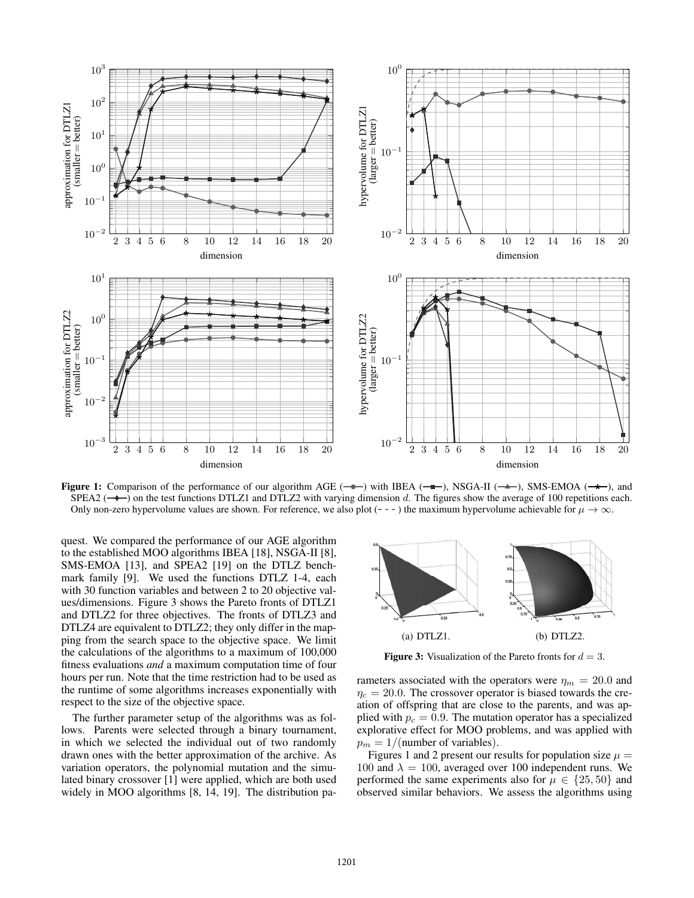

Figure 1: Comparison of the performance of our algorithm AGE ( $\rightarrow$ ) with IBEA ( $\rightarrow$ ), NSGA-II ( $\rightarrow$ ), SMS-EMOA ( $\rightarrow$ ), and SPEA2 ( $\rightarrow$ ) on the test functions DTLZ1 and DTLZ2 with varying dimension d. The figures show the average of 100 repetitions each. Only non-zero hypervolume values are shown. For reference, we also plot ( $-$  - ) the maximum hypervolume achievable for  $\mu \to \infty$ .

quest. We compared the performance of our AGE algorithm to the established MOO algorithms IBEA [18], NSGA-II [8], SMS-EMOA [13], and SPEA2 [19] on the DTLZ benchmark family [9]. We used the functions DTLZ 1-4, each with 30 function variables and between 2 to 20 objective values/dimensions. Figure 3 shows the Pareto fronts of DTLZ1 and DTLZ2 for three objectives. The fronts of DTLZ3 and DTLZ4 are equivalent to DTLZ2; they only differ in the mapping from the search space to the objective space. We limit the calculations of the algorithms to a maximum of 100,000 fitness evaluations *and* a maximum computation time of four hours per run. Note that the time restriction had to be used as the runtime of some algorithms increases exponentially with respect to the size of the objective space.

The further parameter setup of the algorithms was as follows. Parents were selected through a binary tournament, in which we selected the individual out of two randomly drawn ones with the better approximation of the archive. As variation operators, the polynomial mutation and the simulated binary crossover [1] were applied, which are both used widely in MOO algorithms [8, 14, 19]. The distribution pa-



**Figure 3:** Visualization of the Pareto fronts for  $d = 3$ .

rameters associated with the operators were  $\eta_m = 20.0$  and  $\eta_c = 20.0$ . The crossover operator is biased towards the creation of offspring that are close to the parents, and was applied with  $p_c = 0.9$ . The mutation operator has a specialized explorative effect for MOO problems, and was applied with  $p_m = 1/$ (number of variables).

Figures 1 and 2 present our results for population size  $\mu =$ 100 and  $\lambda = 100$ , averaged over 100 independent runs. We performed the same experiments also for  $\mu \in \{25, 50\}$  and observed similar behaviors. We assess the algorithms using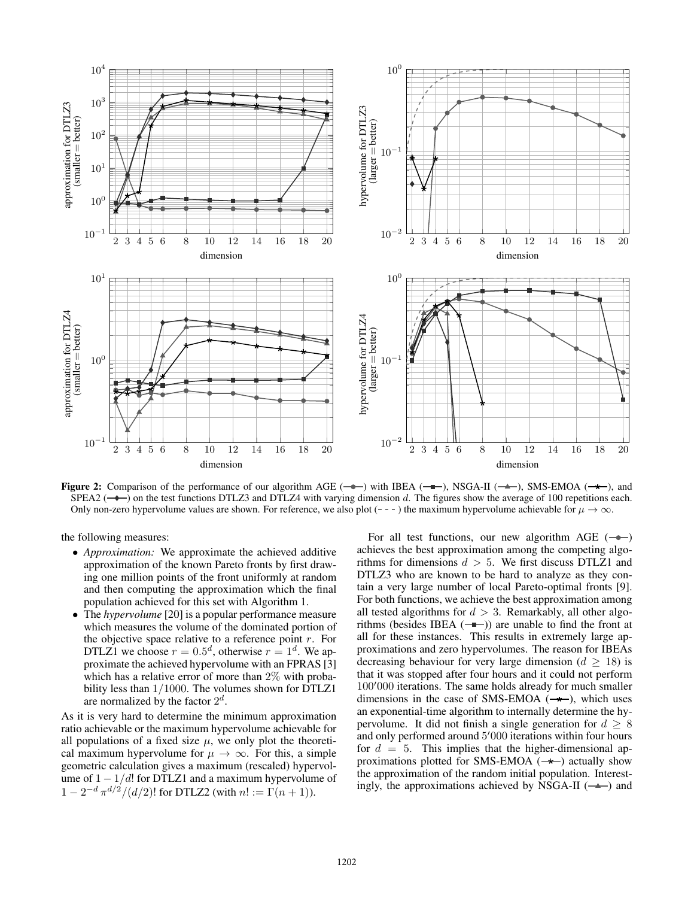

Figure 2: Comparison of the performance of our algorithm AGE ( $\rightarrow$ ) with IBEA ( $\rightarrow$ ), NSGA-II ( $\rightarrow$ ), SMS-EMOA ( $\rightarrow$ ), and SPEA2 ( $\rightarrow$ ) on the test functions DTLZ3 and DTLZ4 with varying dimension d. The figures show the average of 100 repetitions each. Only non-zero hypervolume values are shown. For reference, we also plot  $(- - -)$  the maximum hypervolume achievable for  $\mu \to \infty$ .

the following measures:

- *Approximation:* We approximate the achieved additive approximation of the known Pareto fronts by first drawing one million points of the front uniformly at random and then computing the approximation which the final population achieved for this set with Algorithm 1.
- The *hypervolume* [20] is a popular performance measure which measures the volume of the dominated portion of the objective space relative to a reference point  $r$ . For DTLZ1 we choose  $r = 0.5^d$ , otherwise  $r = 1^d$ . We approximate the achieved hypervolume with an FPRAS [3] which has a relative error of more than 2% with probability less than 1/1000. The volumes shown for DTLZ1 are normalized by the factor  $2^d$ .

As it is very hard to determine the minimum approximation ratio achievable or the maximum hypervolume achievable for all populations of a fixed size  $\mu$ , we only plot the theoretical maximum hypervolume for  $\mu \to \infty$ . For this, a simple geometric calculation gives a maximum (rescaled) hypervolume of  $1 - 1/d!$  for DTLZ1 and a maximum hypervolume of  $1 - 2^{-d} \pi^{d/2} / (d/2)!$  for DTLZ2 (with  $n! := \Gamma(n+1)$ ).

For all test functions, our new algorithm AGE  $(-\rightarrow)$ achieves the best approximation among the competing algorithms for dimensions  $d > 5$ . We first discuss DTLZ1 and DTLZ3 who are known to be hard to analyze as they contain a very large number of local Pareto-optimal fronts [9]. For both functions, we achieve the best approximation among all tested algorithms for  $d > 3$ . Remarkably, all other algorithms (besides IBEA  $(-\bullet)$ ) are unable to find the front at all for these instances. This results in extremely large approximations and zero hypervolumes. The reason for IBEAs decreasing behaviour for very large dimension ( $d \geq 18$ ) is that it was stopped after four hours and it could not perform 100'000 iterations. The same holds already for much smaller dimensions in the case of SMS-EMOA  $(-\star)$  which uses dimensions in the case of SMS-EMOA  $(\rightarrow \rightarrow)$ , which uses an exponential-time algorithm to internally determine the hypervolume. It did not finish a single generation for  $d \geq 8$ and only performed around  $5'000$  iterations within four hours<br>for  $d = 5$  This implies that the higher-dimensional anfor  $d = 5$ . This implies that the higher-dimensional approximations plotted for SMS-EMOA  $(\rightarrow \rightarrow)$  actually show the approximation of the random initial population. Interestingly, the approximations achieved by NSGA-II  $( \rightarrow )$  and